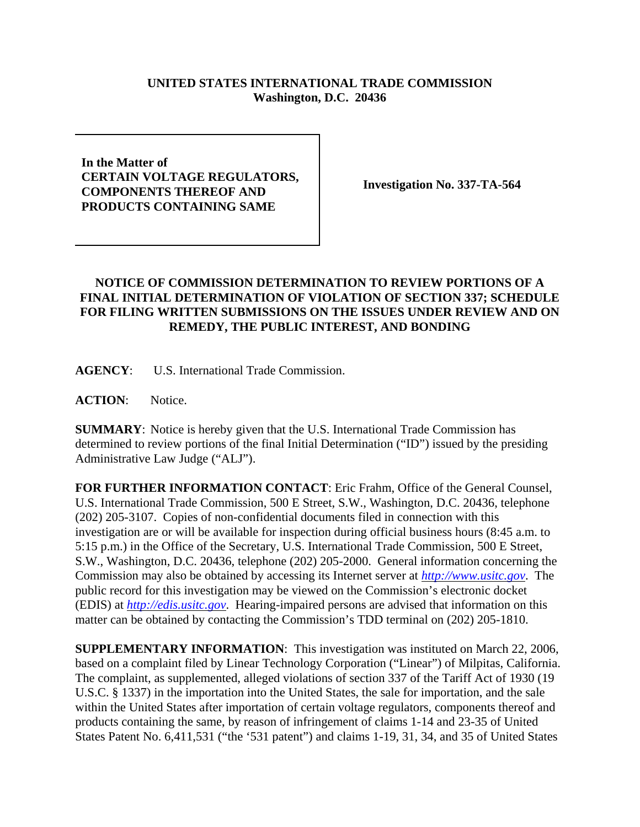## **UNITED STATES INTERNATIONAL TRADE COMMISSION Washington, D.C. 20436**

## **In the Matter of CERTAIN VOLTAGE REGULATORS, COMPONENTS THEREOF AND PRODUCTS CONTAINING SAME**

**Investigation No. 337-TA-564**

## **NOTICE OF COMMISSION DETERMINATION TO REVIEW PORTIONS OF A FINAL INITIAL DETERMINATION OF VIOLATION OF SECTION 337; SCHEDULE FOR FILING WRITTEN SUBMISSIONS ON THE ISSUES UNDER REVIEW AND ON REMEDY, THE PUBLIC INTEREST, AND BONDING**

**AGENCY**: U.S. International Trade Commission.

**ACTION**: Notice.

**SUMMARY**: Notice is hereby given that the U.S. International Trade Commission has determined to review portions of the final Initial Determination ("ID") issued by the presiding Administrative Law Judge ("ALJ").

**FOR FURTHER INFORMATION CONTACT**: Eric Frahm, Office of the General Counsel, U.S. International Trade Commission, 500 E Street, S.W., Washington, D.C. 20436, telephone (202) 205-3107. Copies of non-confidential documents filed in connection with this investigation are or will be available for inspection during official business hours (8:45 a.m. to 5:15 p.m.) in the Office of the Secretary, U.S. International Trade Commission, 500 E Street, S.W., Washington, D.C. 20436, telephone (202) 205-2000. General information concerning the Commission may also be obtained by accessing its Internet server at *http://www.usitc.gov*. The public record for this investigation may be viewed on the Commission's electronic docket (EDIS) at *http://edis.usitc.gov*. Hearing-impaired persons are advised that information on this matter can be obtained by contacting the Commission's TDD terminal on (202) 205-1810.

**SUPPLEMENTARY INFORMATION**: This investigation was instituted on March 22, 2006, based on a complaint filed by Linear Technology Corporation ("Linear") of Milpitas, California. The complaint, as supplemented, alleged violations of section 337 of the Tariff Act of 1930 (19 U.S.C. § 1337) in the importation into the United States, the sale for importation, and the sale within the United States after importation of certain voltage regulators, components thereof and products containing the same, by reason of infringement of claims 1-14 and 23-35 of United States Patent No. 6,411,531 ("the '531 patent") and claims 1-19, 31, 34, and 35 of United States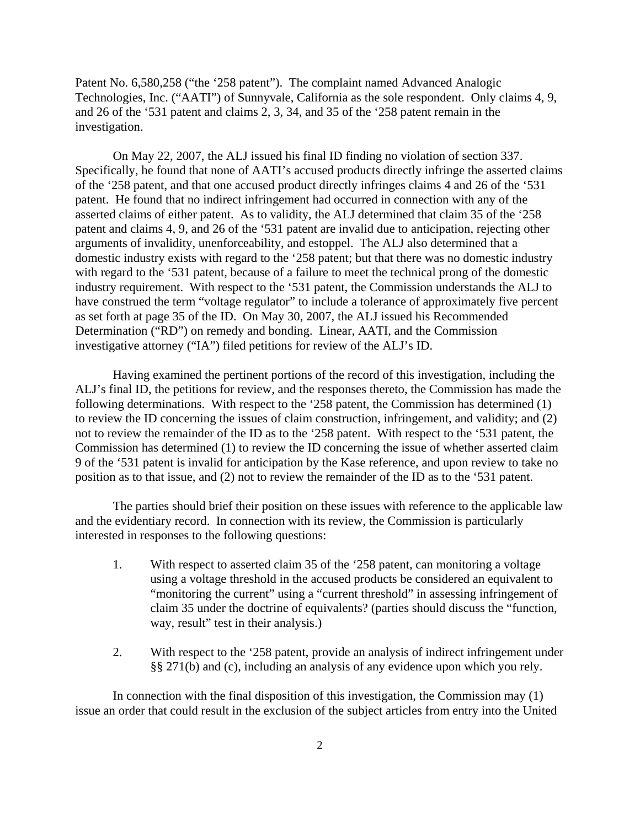Patent No. 6,580,258 ("the '258 patent"). The complaint named Advanced Analogic Technologies, Inc. ("AATI") of Sunnyvale, California as the sole respondent. Only claims 4, 9, and 26 of the '531 patent and claims 2, 3, 34, and 35 of the '258 patent remain in the investigation.

On May 22, 2007, the ALJ issued his final ID finding no violation of section 337. Specifically, he found that none of AATI's accused products directly infringe the asserted claims of the '258 patent, and that one accused product directly infringes claims 4 and 26 of the '531 patent. He found that no indirect infringement had occurred in connection with any of the asserted claims of either patent. As to validity, the ALJ determined that claim 35 of the '258 patent and claims 4, 9, and 26 of the '531 patent are invalid due to anticipation, rejecting other arguments of invalidity, unenforceability, and estoppel. The ALJ also determined that a domestic industry exists with regard to the '258 patent; but that there was no domestic industry with regard to the '531 patent, because of a failure to meet the technical prong of the domestic industry requirement. With respect to the '531 patent, the Commission understands the ALJ to have construed the term "voltage regulator" to include a tolerance of approximately five percent as set forth at page 35 of the ID. On May 30, 2007, the ALJ issued his Recommended Determination ("RD") on remedy and bonding. Linear, AATI, and the Commission investigative attorney ("IA") filed petitions for review of the ALJ's ID.

Having examined the pertinent portions of the record of this investigation, including the ALJ's final ID, the petitions for review, and the responses thereto, the Commission has made the following determinations. With respect to the '258 patent, the Commission has determined (1) to review the ID concerning the issues of claim construction, infringement, and validity; and (2) not to review the remainder of the ID as to the '258 patent. With respect to the '531 patent, the Commission has determined (1) to review the ID concerning the issue of whether asserted claim 9 of the '531 patent is invalid for anticipation by the Kase reference, and upon review to take no position as to that issue, and (2) not to review the remainder of the ID as to the '531 patent.

The parties should brief their position on these issues with reference to the applicable law and the evidentiary record. In connection with its review, the Commission is particularly interested in responses to the following questions:

- 1. With respect to asserted claim 35 of the '258 patent, can monitoring a voltage using a voltage threshold in the accused products be considered an equivalent to "monitoring the current" using a "current threshold" in assessing infringement of claim 35 under the doctrine of equivalents? (parties should discuss the "function, way, result" test in their analysis.)
- 2. With respect to the '258 patent, provide an analysis of indirect infringement under §§ 271(b) and (c), including an analysis of any evidence upon which you rely.

In connection with the final disposition of this investigation, the Commission may (1) issue an order that could result in the exclusion of the subject articles from entry into the United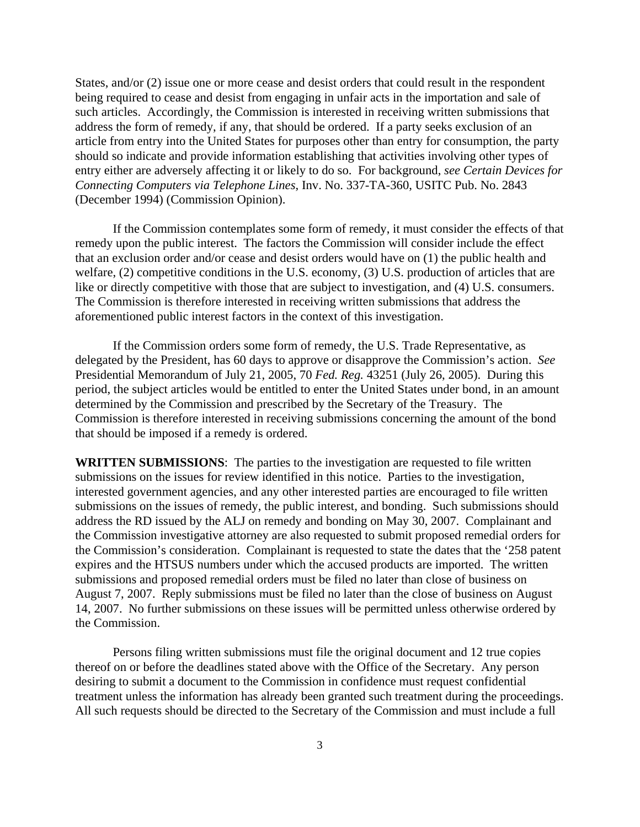States, and/or (2) issue one or more cease and desist orders that could result in the respondent being required to cease and desist from engaging in unfair acts in the importation and sale of such articles. Accordingly, the Commission is interested in receiving written submissions that address the form of remedy, if any, that should be ordered. If a party seeks exclusion of an article from entry into the United States for purposes other than entry for consumption, the party should so indicate and provide information establishing that activities involving other types of entry either are adversely affecting it or likely to do so. For background, *see Certain Devices for Connecting Computers via Telephone Lines*, Inv. No. 337-TA-360, USITC Pub. No. 2843 (December 1994) (Commission Opinion).

If the Commission contemplates some form of remedy, it must consider the effects of that remedy upon the public interest. The factors the Commission will consider include the effect that an exclusion order and/or cease and desist orders would have on (1) the public health and welfare, (2) competitive conditions in the U.S. economy, (3) U.S. production of articles that are like or directly competitive with those that are subject to investigation, and (4) U.S. consumers. The Commission is therefore interested in receiving written submissions that address the aforementioned public interest factors in the context of this investigation.

If the Commission orders some form of remedy, the U.S. Trade Representative, as delegated by the President, has 60 days to approve or disapprove the Commission's action. *See* Presidential Memorandum of July 21, 2005, 70 *Fed. Reg.* 43251 (July 26, 2005). During this period, the subject articles would be entitled to enter the United States under bond, in an amount determined by the Commission and prescribed by the Secretary of the Treasury. The Commission is therefore interested in receiving submissions concerning the amount of the bond that should be imposed if a remedy is ordered.

**WRITTEN SUBMISSIONS**:The parties to the investigation are requested to file written submissions on the issues for review identified in this notice. Parties to the investigation, interested government agencies, and any other interested parties are encouraged to file written submissions on the issues of remedy, the public interest, and bonding. Such submissions should address the RD issued by the ALJ on remedy and bonding on May 30, 2007. Complainant and the Commission investigative attorney are also requested to submit proposed remedial orders for the Commission's consideration. Complainant is requested to state the dates that the '258 patent expires and the HTSUS numbers under which the accused products are imported. The written submissions and proposed remedial orders must be filed no later than close of business on August 7, 2007. Reply submissions must be filed no later than the close of business on August 14, 2007. No further submissions on these issues will be permitted unless otherwise ordered by the Commission.

Persons filing written submissions must file the original document and 12 true copies thereof on or before the deadlines stated above with the Office of the Secretary. Any person desiring to submit a document to the Commission in confidence must request confidential treatment unless the information has already been granted such treatment during the proceedings. All such requests should be directed to the Secretary of the Commission and must include a full